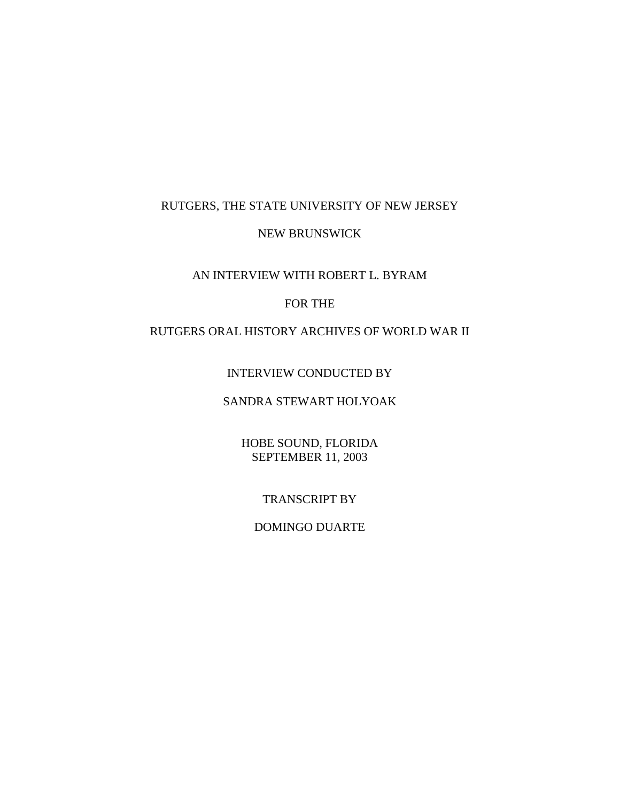### RUTGERS, THE STATE UNIVERSITY OF NEW JERSEY

#### NEW BRUNSWICK

#### AN INTERVIEW WITH ROBERT L. BYRAM

### FOR THE

# RUTGERS ORAL HISTORY ARCHIVES OF WORLD WAR II

## INTERVIEW CONDUCTED BY

# SANDRA STEWART HOLYOAK

# HOBE SOUND, FLORIDA SEPTEMBER 11, 2003

#### TRANSCRIPT BY

#### DOMINGO DUARTE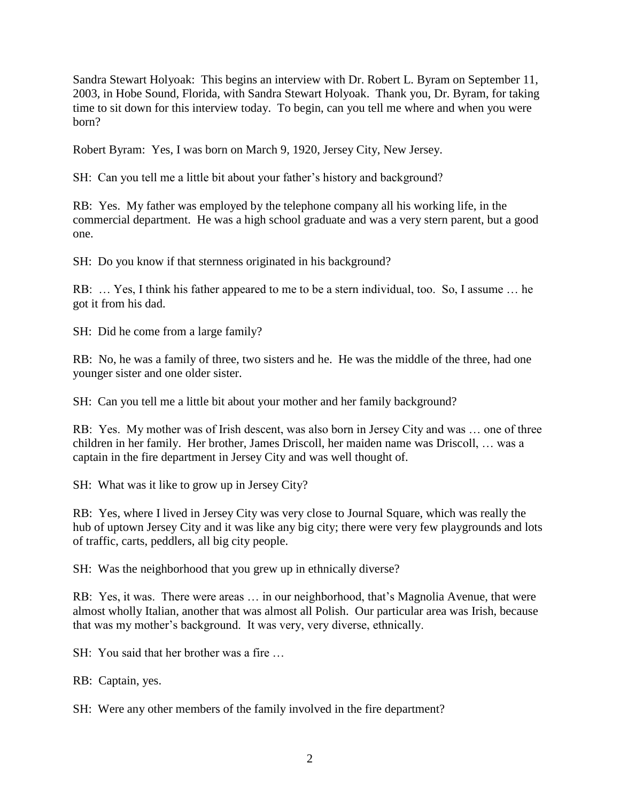Sandra Stewart Holyoak: This begins an interview with Dr. Robert L. Byram on September 11, 2003, in Hobe Sound, Florida, with Sandra Stewart Holyoak. Thank you, Dr. Byram, for taking time to sit down for this interview today. To begin, can you tell me where and when you were born?

Robert Byram: Yes, I was born on March 9, 1920, Jersey City, New Jersey.

SH: Can you tell me a little bit about your father's history and background?

RB: Yes. My father was employed by the telephone company all his working life, in the commercial department. He was a high school graduate and was a very stern parent, but a good one.

SH: Do you know if that sternness originated in his background?

RB: … Yes, I think his father appeared to me to be a stern individual, too. So, I assume … he got it from his dad.

SH: Did he come from a large family?

RB: No, he was a family of three, two sisters and he. He was the middle of the three, had one younger sister and one older sister.

SH: Can you tell me a little bit about your mother and her family background?

RB: Yes. My mother was of Irish descent, was also born in Jersey City and was … one of three children in her family. Her brother, James Driscoll, her maiden name was Driscoll, … was a captain in the fire department in Jersey City and was well thought of.

SH: What was it like to grow up in Jersey City?

RB: Yes, where I lived in Jersey City was very close to Journal Square, which was really the hub of uptown Jersey City and it was like any big city; there were very few playgrounds and lots of traffic, carts, peddlers, all big city people.

SH: Was the neighborhood that you grew up in ethnically diverse?

RB: Yes, it was. There were areas … in our neighborhood, that's Magnolia Avenue, that were almost wholly Italian, another that was almost all Polish. Our particular area was Irish, because that was my mother's background. It was very, very diverse, ethnically.

SH: You said that her brother was a fire …

RB: Captain, yes.

SH: Were any other members of the family involved in the fire department?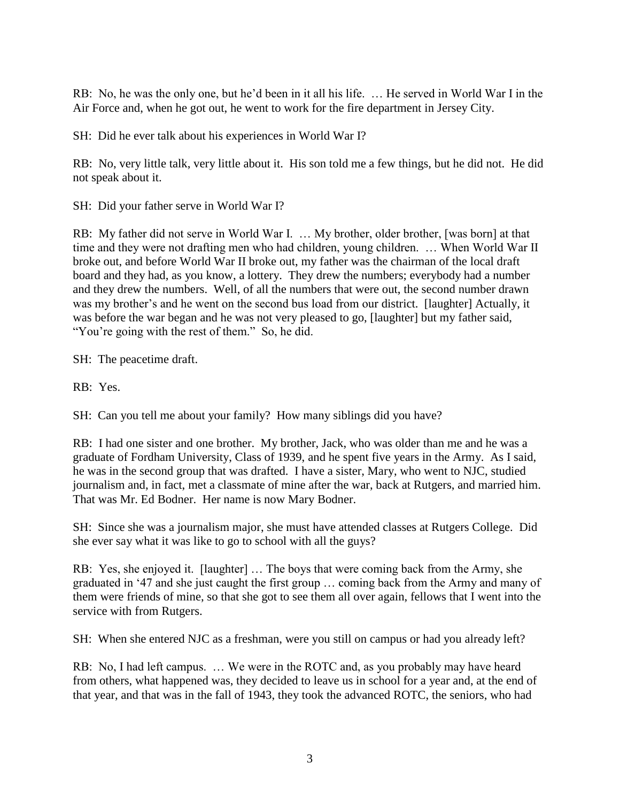RB: No, he was the only one, but he'd been in it all his life. … He served in World War I in the Air Force and, when he got out, he went to work for the fire department in Jersey City.

SH: Did he ever talk about his experiences in World War I?

RB: No, very little talk, very little about it. His son told me a few things, but he did not. He did not speak about it.

SH: Did your father serve in World War I?

RB: My father did not serve in World War I. ... My brother, older brother, [was born] at that time and they were not drafting men who had children, young children. … When World War II broke out, and before World War II broke out, my father was the chairman of the local draft board and they had, as you know, a lottery. They drew the numbers; everybody had a number and they drew the numbers. Well, of all the numbers that were out, the second number drawn was my brother's and he went on the second bus load from our district. [laughter] Actually, it was before the war began and he was not very pleased to go, [laughter] but my father said, "You're going with the rest of them." So, he did.

SH: The peacetime draft.

RB: Yes.

SH: Can you tell me about your family? How many siblings did you have?

RB: I had one sister and one brother. My brother, Jack, who was older than me and he was a graduate of Fordham University, Class of 1939, and he spent five years in the Army. As I said, he was in the second group that was drafted. I have a sister, Mary, who went to NJC, studied journalism and, in fact, met a classmate of mine after the war, back at Rutgers, and married him. That was Mr. Ed Bodner. Her name is now Mary Bodner.

SH: Since she was a journalism major, she must have attended classes at Rutgers College. Did she ever say what it was like to go to school with all the guys?

RB: Yes, she enjoyed it. [laughter] … The boys that were coming back from the Army, she graduated in '47 and she just caught the first group … coming back from the Army and many of them were friends of mine, so that she got to see them all over again, fellows that I went into the service with from Rutgers.

SH: When she entered NJC as a freshman, were you still on campus or had you already left?

RB: No, I had left campus. … We were in the ROTC and, as you probably may have heard from others, what happened was, they decided to leave us in school for a year and, at the end of that year, and that was in the fall of 1943, they took the advanced ROTC, the seniors, who had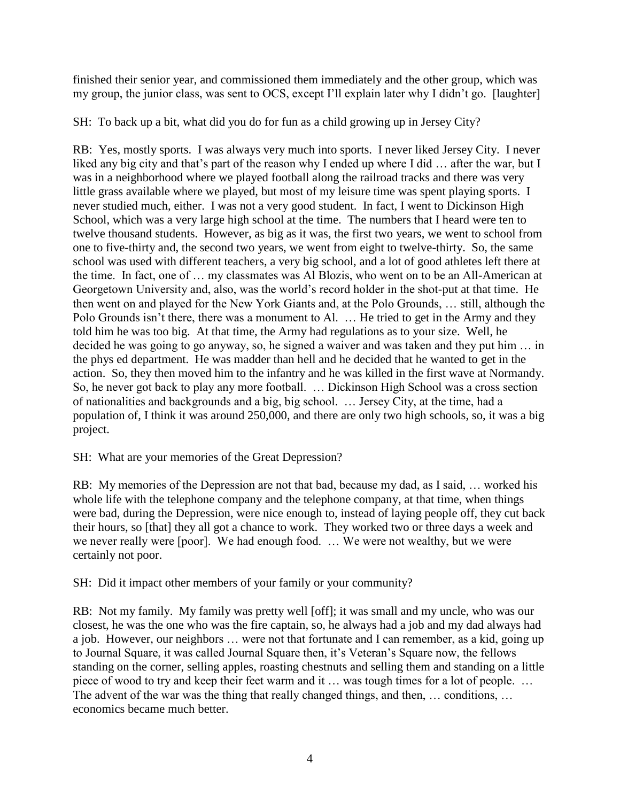finished their senior year, and commissioned them immediately and the other group, which was my group, the junior class, was sent to OCS, except I'll explain later why I didn't go. [laughter]

SH: To back up a bit, what did you do for fun as a child growing up in Jersey City?

RB: Yes, mostly sports. I was always very much into sports. I never liked Jersey City. I never liked any big city and that's part of the reason why I ended up where I did ... after the war, but I was in a neighborhood where we played football along the railroad tracks and there was very little grass available where we played, but most of my leisure time was spent playing sports. I never studied much, either. I was not a very good student. In fact, I went to Dickinson High School, which was a very large high school at the time. The numbers that I heard were ten to twelve thousand students. However, as big as it was, the first two years, we went to school from one to five-thirty and, the second two years, we went from eight to twelve-thirty. So, the same school was used with different teachers, a very big school, and a lot of good athletes left there at the time. In fact, one of … my classmates was Al Blozis, who went on to be an All-American at Georgetown University and, also, was the world's record holder in the shot-put at that time. He then went on and played for the New York Giants and, at the Polo Grounds, … still, although the Polo Grounds isn't there, there was a monument to Al. … He tried to get in the Army and they told him he was too big. At that time, the Army had regulations as to your size. Well, he decided he was going to go anyway, so, he signed a waiver and was taken and they put him … in the phys ed department. He was madder than hell and he decided that he wanted to get in the action. So, they then moved him to the infantry and he was killed in the first wave at Normandy. So, he never got back to play any more football. … Dickinson High School was a cross section of nationalities and backgrounds and a big, big school. … Jersey City, at the time, had a population of, I think it was around 250,000, and there are only two high schools, so, it was a big project.

SH: What are your memories of the Great Depression?

RB: My memories of the Depression are not that bad, because my dad, as I said, … worked his whole life with the telephone company and the telephone company, at that time, when things were bad, during the Depression, were nice enough to, instead of laying people off, they cut back their hours, so [that] they all got a chance to work. They worked two or three days a week and we never really were [poor]. We had enough food. … We were not wealthy, but we were certainly not poor.

SH: Did it impact other members of your family or your community?

RB: Not my family. My family was pretty well [off]; it was small and my uncle, who was our closest, he was the one who was the fire captain, so, he always had a job and my dad always had a job. However, our neighbors … were not that fortunate and I can remember, as a kid, going up to Journal Square, it was called Journal Square then, it's Veteran's Square now, the fellows standing on the corner, selling apples, roasting chestnuts and selling them and standing on a little piece of wood to try and keep their feet warm and it … was tough times for a lot of people. … The advent of the war was the thing that really changed things, and then, … conditions, … economics became much better.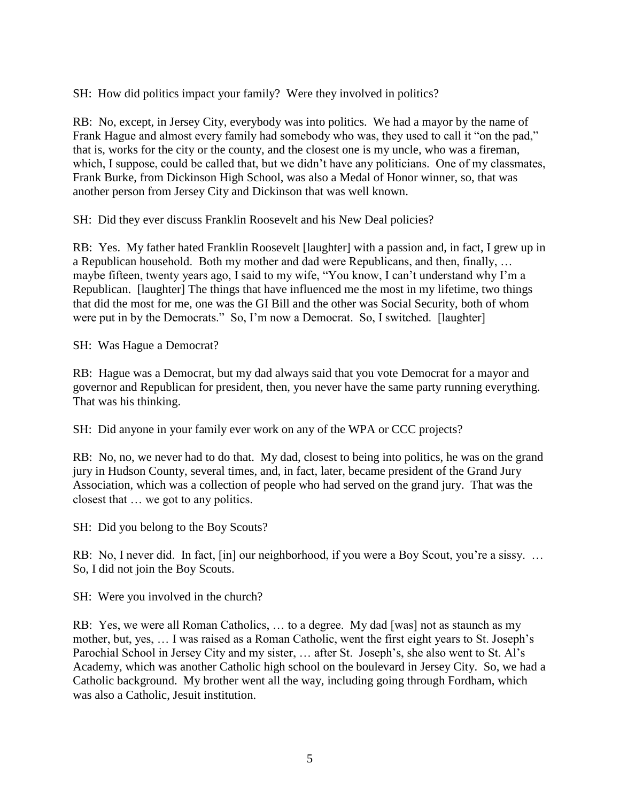SH: How did politics impact your family? Were they involved in politics?

RB: No, except, in Jersey City, everybody was into politics. We had a mayor by the name of Frank Hague and almost every family had somebody who was, they used to call it "on the pad," that is, works for the city or the county, and the closest one is my uncle, who was a fireman, which, I suppose, could be called that, but we didn't have any politicians. One of my classmates, Frank Burke, from Dickinson High School, was also a Medal of Honor winner, so, that was another person from Jersey City and Dickinson that was well known.

SH: Did they ever discuss Franklin Roosevelt and his New Deal policies?

RB: Yes. My father hated Franklin Roosevelt [laughter] with a passion and, in fact, I grew up in a Republican household. Both my mother and dad were Republicans, and then, finally, … maybe fifteen, twenty years ago, I said to my wife, "You know, I can't understand why I'm a Republican. [laughter] The things that have influenced me the most in my lifetime, two things that did the most for me, one was the GI Bill and the other was Social Security, both of whom were put in by the Democrats." So, I'm now a Democrat. So, I switched. [laughter]

SH: Was Hague a Democrat?

RB: Hague was a Democrat, but my dad always said that you vote Democrat for a mayor and governor and Republican for president, then, you never have the same party running everything. That was his thinking.

SH: Did anyone in your family ever work on any of the WPA or CCC projects?

RB: No, no, we never had to do that. My dad, closest to being into politics, he was on the grand jury in Hudson County, several times, and, in fact, later, became president of the Grand Jury Association, which was a collection of people who had served on the grand jury. That was the closest that … we got to any politics.

SH: Did you belong to the Boy Scouts?

RB: No, I never did. In fact, [in] our neighborhood, if you were a Boy Scout, you're a sissy. ... So, I did not join the Boy Scouts.

SH: Were you involved in the church?

RB: Yes, we were all Roman Catholics, … to a degree. My dad [was] not as staunch as my mother, but, yes, … I was raised as a Roman Catholic, went the first eight years to St. Joseph's Parochial School in Jersey City and my sister, … after St. Joseph's, she also went to St. Al's Academy, which was another Catholic high school on the boulevard in Jersey City. So, we had a Catholic background. My brother went all the way, including going through Fordham, which was also a Catholic, Jesuit institution.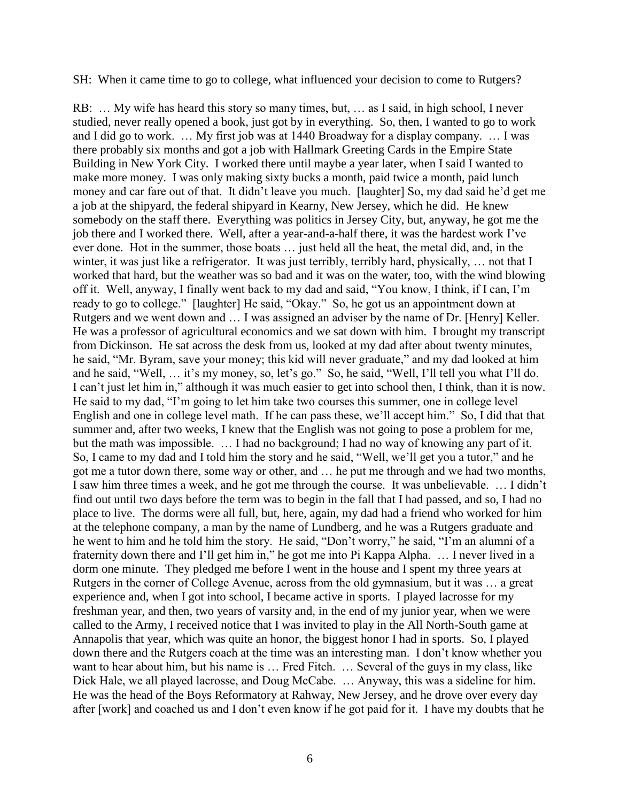SH: When it came time to go to college, what influenced your decision to come to Rutgers?

RB: … My wife has heard this story so many times, but, … as I said, in high school, I never studied, never really opened a book, just got by in everything. So, then, I wanted to go to work and I did go to work. … My first job was at 1440 Broadway for a display company. … I was there probably six months and got a job with Hallmark Greeting Cards in the Empire State Building in New York City. I worked there until maybe a year later, when I said I wanted to make more money. I was only making sixty bucks a month, paid twice a month, paid lunch money and car fare out of that. It didn't leave you much. [laughter] So, my dad said he'd get me a job at the shipyard, the federal shipyard in Kearny, New Jersey, which he did. He knew somebody on the staff there. Everything was politics in Jersey City, but, anyway, he got me the job there and I worked there. Well, after a year-and-a-half there, it was the hardest work I've ever done. Hot in the summer, those boats … just held all the heat, the metal did, and, in the winter, it was just like a refrigerator. It was just terribly, terribly hard, physically, ... not that I worked that hard, but the weather was so bad and it was on the water, too, with the wind blowing off it. Well, anyway, I finally went back to my dad and said, "You know, I think, if I can, I'm ready to go to college." [laughter] He said, "Okay." So, he got us an appointment down at Rutgers and we went down and … I was assigned an adviser by the name of Dr. [Henry] Keller. He was a professor of agricultural economics and we sat down with him. I brought my transcript from Dickinson. He sat across the desk from us, looked at my dad after about twenty minutes, he said, "Mr. Byram, save your money; this kid will never graduate," and my dad looked at him and he said, "Well, … it's my money, so, let's go." So, he said, "Well, I'll tell you what I'll do. I can't just let him in," although it was much easier to get into school then, I think, than it is now. He said to my dad, "I'm going to let him take two courses this summer, one in college level English and one in college level math. If he can pass these, we'll accept him." So, I did that that summer and, after two weeks, I knew that the English was not going to pose a problem for me, but the math was impossible. … I had no background; I had no way of knowing any part of it. So, I came to my dad and I told him the story and he said, "Well, we'll get you a tutor," and he got me a tutor down there, some way or other, and … he put me through and we had two months, I saw him three times a week, and he got me through the course. It was unbelievable. … I didn't find out until two days before the term was to begin in the fall that I had passed, and so, I had no place to live. The dorms were all full, but, here, again, my dad had a friend who worked for him at the telephone company, a man by the name of Lundberg, and he was a Rutgers graduate and he went to him and he told him the story. He said, "Don't worry," he said, "I'm an alumni of a fraternity down there and I'll get him in," he got me into Pi Kappa Alpha. … I never lived in a dorm one minute. They pledged me before I went in the house and I spent my three years at Rutgers in the corner of College Avenue, across from the old gymnasium, but it was … a great experience and, when I got into school, I became active in sports. I played lacrosse for my freshman year, and then, two years of varsity and, in the end of my junior year, when we were called to the Army, I received notice that I was invited to play in the All North-South game at Annapolis that year, which was quite an honor, the biggest honor I had in sports. So, I played down there and the Rutgers coach at the time was an interesting man. I don't know whether you want to hear about him, but his name is … Fred Fitch. … Several of the guys in my class, like Dick Hale, we all played lacrosse, and Doug McCabe. … Anyway, this was a sideline for him. He was the head of the Boys Reformatory at Rahway, New Jersey, and he drove over every day after [work] and coached us and I don't even know if he got paid for it. I have my doubts that he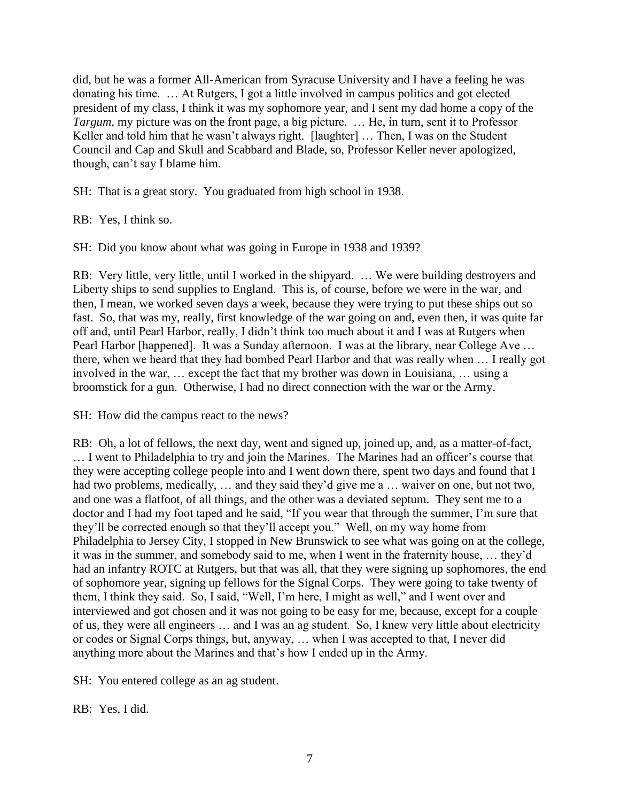did, but he was a former All-American from Syracuse University and I have a feeling he was donating his time. … At Rutgers, I got a little involved in campus politics and got elected president of my class, I think it was my sophomore year, and I sent my dad home a copy of the *Targum*, my picture was on the front page, a big picture. … He, in turn, sent it to Professor Keller and told him that he wasn't always right. [laughter] ... Then, I was on the Student Council and Cap and Skull and Scabbard and Blade, so, Professor Keller never apologized, though, can't say I blame him.

SH: That is a great story. You graduated from high school in 1938.

RB: Yes, I think so.

SH: Did you know about what was going in Europe in 1938 and 1939?

RB: Very little, very little, until I worked in the shipyard. … We were building destroyers and Liberty ships to send supplies to England. This is, of course, before we were in the war, and then, I mean, we worked seven days a week, because they were trying to put these ships out so fast. So, that was my, really, first knowledge of the war going on and, even then, it was quite far off and, until Pearl Harbor, really, I didn't think too much about it and I was at Rutgers when Pearl Harbor [happened]. It was a Sunday afternoon. I was at the library, near College Ave ... there, when we heard that they had bombed Pearl Harbor and that was really when … I really got involved in the war, … except the fact that my brother was down in Louisiana, … using a broomstick for a gun. Otherwise, I had no direct connection with the war or the Army.

SH: How did the campus react to the news?

RB: Oh, a lot of fellows, the next day, went and signed up, joined up, and, as a matter-of-fact, … I went to Philadelphia to try and join the Marines. The Marines had an officer's course that they were accepting college people into and I went down there, spent two days and found that I had two problems, medically, ... and they said they'd give me a ... waiver on one, but not two, and one was a flatfoot, of all things, and the other was a deviated septum. They sent me to a doctor and I had my foot taped and he said, "If you wear that through the summer, I'm sure that they'll be corrected enough so that they'll accept you." Well, on my way home from Philadelphia to Jersey City, I stopped in New Brunswick to see what was going on at the college, it was in the summer, and somebody said to me, when I went in the fraternity house, … they'd had an infantry ROTC at Rutgers, but that was all, that they were signing up sophomores, the end of sophomore year, signing up fellows for the Signal Corps. They were going to take twenty of them, I think they said. So, I said, "Well, I'm here, I might as well," and I went over and interviewed and got chosen and it was not going to be easy for me, because, except for a couple of us, they were all engineers … and I was an ag student. So, I knew very little about electricity or codes or Signal Corps things, but, anyway, … when I was accepted to that, I never did anything more about the Marines and that's how I ended up in the Army.

SH: You entered college as an ag student.

RB: Yes, I did.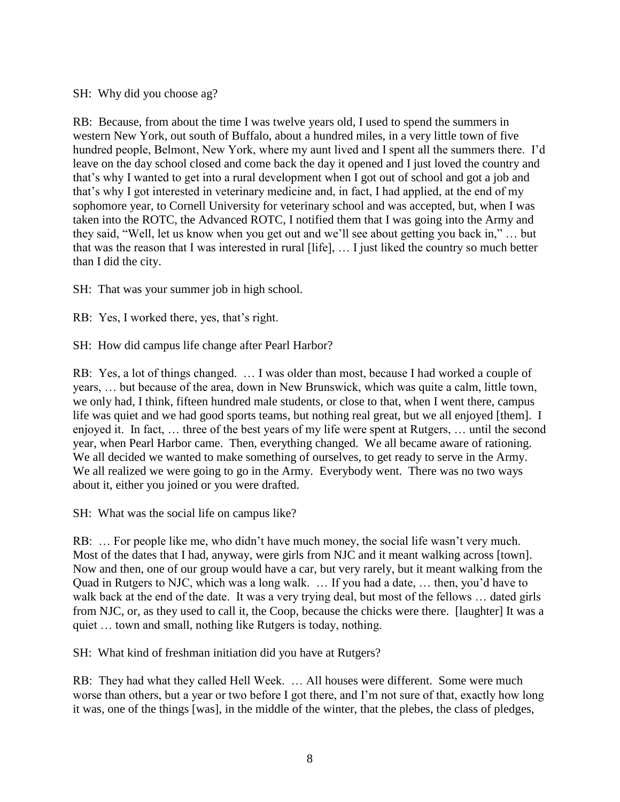SH: Why did you choose ag?

RB: Because, from about the time I was twelve years old, I used to spend the summers in western New York, out south of Buffalo, about a hundred miles, in a very little town of five hundred people, Belmont, New York, where my aunt lived and I spent all the summers there. I'd leave on the day school closed and come back the day it opened and I just loved the country and that's why I wanted to get into a rural development when I got out of school and got a job and that's why I got interested in veterinary medicine and, in fact, I had applied, at the end of my sophomore year, to Cornell University for veterinary school and was accepted, but, when I was taken into the ROTC, the Advanced ROTC, I notified them that I was going into the Army and they said, "Well, let us know when you get out and we'll see about getting you back in," … but that was the reason that I was interested in rural [life], … I just liked the country so much better than I did the city.

SH: That was your summer job in high school.

RB: Yes, I worked there, yes, that's right.

SH: How did campus life change after Pearl Harbor?

RB: Yes, a lot of things changed. … I was older than most, because I had worked a couple of years, … but because of the area, down in New Brunswick, which was quite a calm, little town, we only had, I think, fifteen hundred male students, or close to that, when I went there, campus life was quiet and we had good sports teams, but nothing real great, but we all enjoyed [them]. I enjoyed it. In fact, … three of the best years of my life were spent at Rutgers, … until the second year, when Pearl Harbor came. Then, everything changed. We all became aware of rationing. We all decided we wanted to make something of ourselves, to get ready to serve in the Army. We all realized we were going to go in the Army. Everybody went. There was no two ways about it, either you joined or you were drafted.

SH: What was the social life on campus like?

RB: … For people like me, who didn't have much money, the social life wasn't very much. Most of the dates that I had, anyway, were girls from NJC and it meant walking across [town]. Now and then, one of our group would have a car, but very rarely, but it meant walking from the Quad in Rutgers to NJC, which was a long walk. … If you had a date, … then, you'd have to walk back at the end of the date. It was a very trying deal, but most of the fellows ... dated girls from NJC, or, as they used to call it, the Coop, because the chicks were there. [laughter] It was a quiet … town and small, nothing like Rutgers is today, nothing.

SH: What kind of freshman initiation did you have at Rutgers?

RB: They had what they called Hell Week. … All houses were different. Some were much worse than others, but a year or two before I got there, and I'm not sure of that, exactly how long it was, one of the things [was], in the middle of the winter, that the plebes, the class of pledges,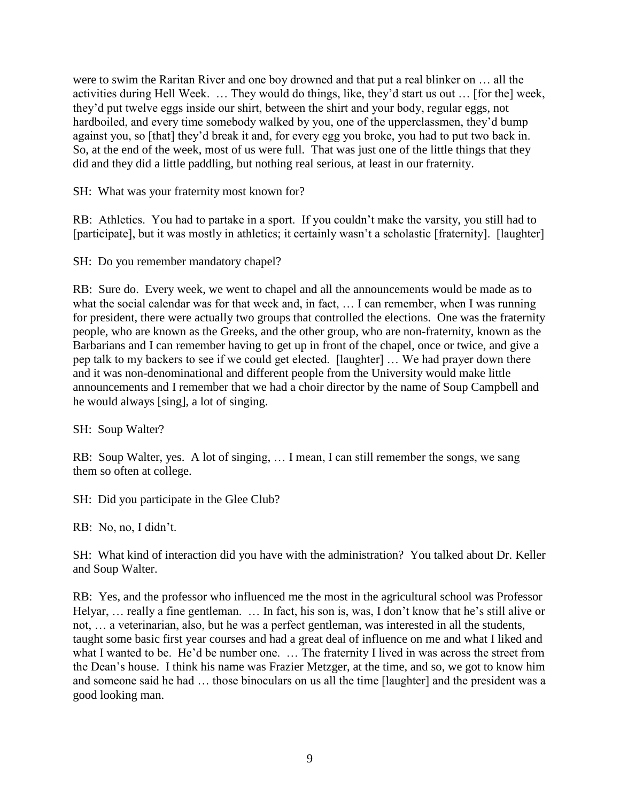were to swim the Raritan River and one boy drowned and that put a real blinker on … all the activities during Hell Week. … They would do things, like, they'd start us out … [for the] week, they'd put twelve eggs inside our shirt, between the shirt and your body, regular eggs, not hardboiled, and every time somebody walked by you, one of the upperclassmen, they'd bump against you, so [that] they'd break it and, for every egg you broke, you had to put two back in. So, at the end of the week, most of us were full. That was just one of the little things that they did and they did a little paddling, but nothing real serious, at least in our fraternity.

SH: What was your fraternity most known for?

RB: Athletics. You had to partake in a sport. If you couldn't make the varsity, you still had to [participate], but it was mostly in athletics; it certainly wasn't a scholastic [fraternity]. [laughter]

SH: Do you remember mandatory chapel?

RB: Sure do. Every week, we went to chapel and all the announcements would be made as to what the social calendar was for that week and, in fact, ... I can remember, when I was running for president, there were actually two groups that controlled the elections. One was the fraternity people, who are known as the Greeks, and the other group, who are non-fraternity, known as the Barbarians and I can remember having to get up in front of the chapel, once or twice, and give a pep talk to my backers to see if we could get elected. [laughter] … We had prayer down there and it was non-denominational and different people from the University would make little announcements and I remember that we had a choir director by the name of Soup Campbell and he would always [sing], a lot of singing.

SH: Soup Walter?

RB: Soup Walter, yes. A lot of singing, … I mean, I can still remember the songs, we sang them so often at college.

SH: Did you participate in the Glee Club?

RB: No, no, I didn't.

SH: What kind of interaction did you have with the administration? You talked about Dr. Keller and Soup Walter.

RB: Yes, and the professor who influenced me the most in the agricultural school was Professor Helyar, … really a fine gentleman. … In fact, his son is, was, I don't know that he's still alive or not, … a veterinarian, also, but he was a perfect gentleman, was interested in all the students, taught some basic first year courses and had a great deal of influence on me and what I liked and what I wanted to be. He'd be number one. ... The fraternity I lived in was across the street from the Dean's house. I think his name was Frazier Metzger, at the time, and so, we got to know him and someone said he had … those binoculars on us all the time [laughter] and the president was a good looking man.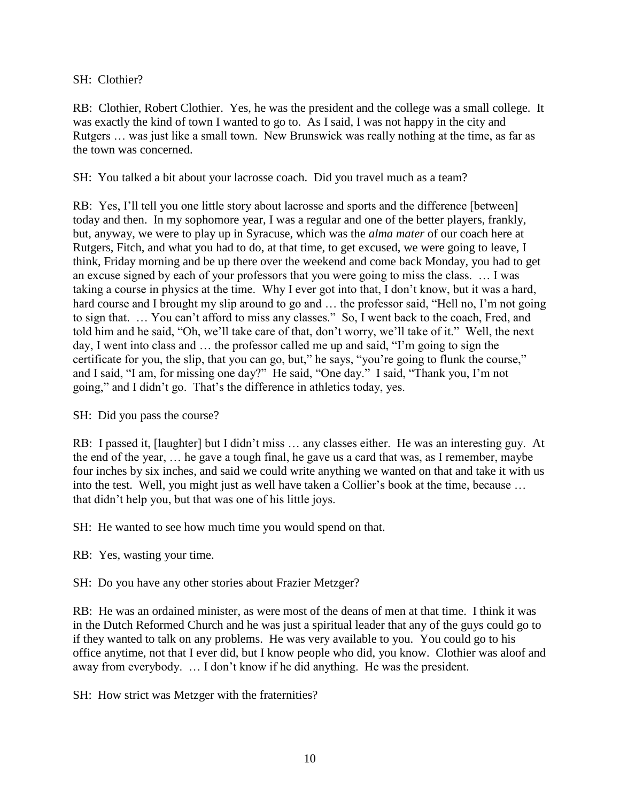### SH: Clothier?

RB: Clothier, Robert Clothier. Yes, he was the president and the college was a small college. It was exactly the kind of town I wanted to go to. As I said, I was not happy in the city and Rutgers … was just like a small town. New Brunswick was really nothing at the time, as far as the town was concerned.

SH: You talked a bit about your lacrosse coach. Did you travel much as a team?

RB: Yes, I'll tell you one little story about lacrosse and sports and the difference [between] today and then. In my sophomore year, I was a regular and one of the better players, frankly, but, anyway, we were to play up in Syracuse, which was the *alma mater* of our coach here at Rutgers, Fitch, and what you had to do, at that time, to get excused, we were going to leave, I think, Friday morning and be up there over the weekend and come back Monday, you had to get an excuse signed by each of your professors that you were going to miss the class. … I was taking a course in physics at the time. Why I ever got into that, I don't know, but it was a hard, hard course and I brought my slip around to go and ... the professor said, "Hell no, I'm not going to sign that. … You can't afford to miss any classes." So, I went back to the coach, Fred, and told him and he said, "Oh, we'll take care of that, don't worry, we'll take of it." Well, the next day, I went into class and … the professor called me up and said, "I'm going to sign the certificate for you, the slip, that you can go, but," he says, "you're going to flunk the course," and I said, "I am, for missing one day?" He said, "One day." I said, "Thank you, I'm not going," and I didn't go. That's the difference in athletics today, yes.

SH: Did you pass the course?

RB: I passed it, [laughter] but I didn't miss … any classes either. He was an interesting guy. At the end of the year, … he gave a tough final, he gave us a card that was, as I remember, maybe four inches by six inches, and said we could write anything we wanted on that and take it with us into the test. Well, you might just as well have taken a Collier's book at the time, because … that didn't help you, but that was one of his little joys.

SH: He wanted to see how much time you would spend on that.

RB: Yes, wasting your time.

SH: Do you have any other stories about Frazier Metzger?

RB: He was an ordained minister, as were most of the deans of men at that time. I think it was in the Dutch Reformed Church and he was just a spiritual leader that any of the guys could go to if they wanted to talk on any problems. He was very available to you. You could go to his office anytime, not that I ever did, but I know people who did, you know. Clothier was aloof and away from everybody. … I don't know if he did anything. He was the president.

SH: How strict was Metzger with the fraternities?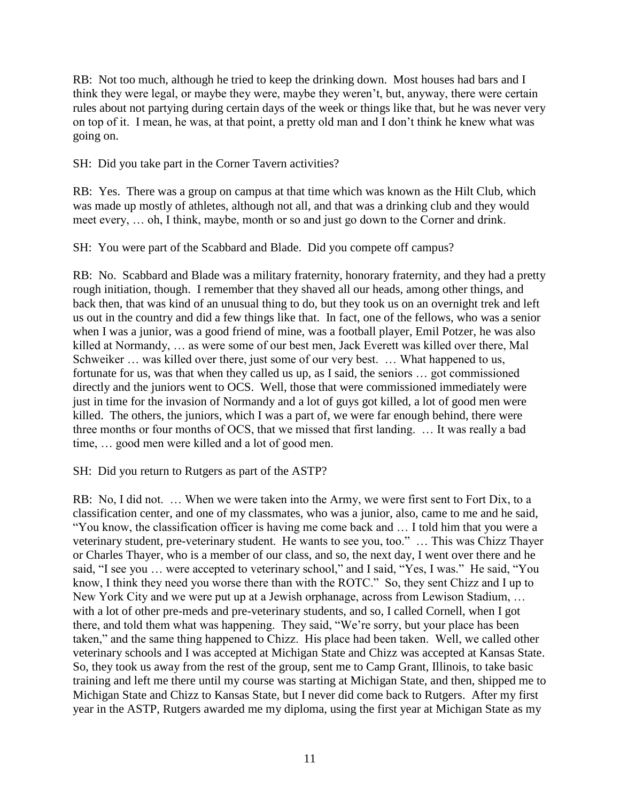RB: Not too much, although he tried to keep the drinking down. Most houses had bars and I think they were legal, or maybe they were, maybe they weren't, but, anyway, there were certain rules about not partying during certain days of the week or things like that, but he was never very on top of it. I mean, he was, at that point, a pretty old man and I don't think he knew what was going on.

SH: Did you take part in the Corner Tavern activities?

RB: Yes. There was a group on campus at that time which was known as the Hilt Club, which was made up mostly of athletes, although not all, and that was a drinking club and they would meet every, … oh, I think, maybe, month or so and just go down to the Corner and drink.

SH: You were part of the Scabbard and Blade. Did you compete off campus?

RB: No. Scabbard and Blade was a military fraternity, honorary fraternity, and they had a pretty rough initiation, though. I remember that they shaved all our heads, among other things, and back then, that was kind of an unusual thing to do, but they took us on an overnight trek and left us out in the country and did a few things like that. In fact, one of the fellows, who was a senior when I was a junior, was a good friend of mine, was a football player, Emil Potzer, he was also killed at Normandy, … as were some of our best men, Jack Everett was killed over there, Mal Schweiker ... was killed over there, just some of our very best. ... What happened to us, fortunate for us, was that when they called us up, as I said, the seniors … got commissioned directly and the juniors went to OCS. Well, those that were commissioned immediately were just in time for the invasion of Normandy and a lot of guys got killed, a lot of good men were killed. The others, the juniors, which I was a part of, we were far enough behind, there were three months or four months of OCS, that we missed that first landing. … It was really a bad time, … good men were killed and a lot of good men.

#### SH: Did you return to Rutgers as part of the ASTP?

RB: No, I did not. … When we were taken into the Army, we were first sent to Fort Dix, to a classification center, and one of my classmates, who was a junior, also, came to me and he said, "You know, the classification officer is having me come back and … I told him that you were a veterinary student, pre-veterinary student. He wants to see you, too." … This was Chizz Thayer or Charles Thayer, who is a member of our class, and so, the next day, I went over there and he said, "I see you … were accepted to veterinary school," and I said, "Yes, I was." He said, "You know, I think they need you worse there than with the ROTC." So, they sent Chizz and I up to New York City and we were put up at a Jewish orphanage, across from Lewison Stadium, … with a lot of other pre-meds and pre-veterinary students, and so, I called Cornell, when I got there, and told them what was happening. They said, "We're sorry, but your place has been taken," and the same thing happened to Chizz. His place had been taken. Well, we called other veterinary schools and I was accepted at Michigan State and Chizz was accepted at Kansas State. So, they took us away from the rest of the group, sent me to Camp Grant, Illinois, to take basic training and left me there until my course was starting at Michigan State, and then, shipped me to Michigan State and Chizz to Kansas State, but I never did come back to Rutgers. After my first year in the ASTP, Rutgers awarded me my diploma, using the first year at Michigan State as my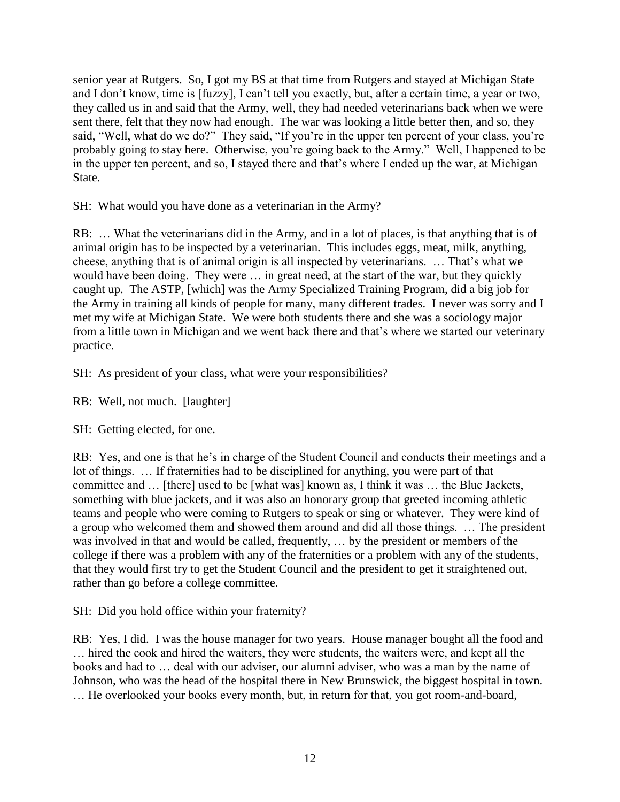senior year at Rutgers. So, I got my BS at that time from Rutgers and stayed at Michigan State and I don't know, time is [fuzzy], I can't tell you exactly, but, after a certain time, a year or two, they called us in and said that the Army, well, they had needed veterinarians back when we were sent there, felt that they now had enough. The war was looking a little better then, and so, they said, "Well, what do we do?" They said, "If you're in the upper ten percent of your class, you're probably going to stay here. Otherwise, you're going back to the Army." Well, I happened to be in the upper ten percent, and so, I stayed there and that's where I ended up the war, at Michigan State.

SH: What would you have done as a veterinarian in the Army?

RB: … What the veterinarians did in the Army, and in a lot of places, is that anything that is of animal origin has to be inspected by a veterinarian. This includes eggs, meat, milk, anything, cheese, anything that is of animal origin is all inspected by veterinarians. … That's what we would have been doing. They were … in great need, at the start of the war, but they quickly caught up. The ASTP, [which] was the Army Specialized Training Program, did a big job for the Army in training all kinds of people for many, many different trades. I never was sorry and I met my wife at Michigan State. We were both students there and she was a sociology major from a little town in Michigan and we went back there and that's where we started our veterinary practice.

SH: As president of your class, what were your responsibilities?

RB: Well, not much. [laughter]

SH: Getting elected, for one.

RB: Yes, and one is that he's in charge of the Student Council and conducts their meetings and a lot of things. … If fraternities had to be disciplined for anything, you were part of that committee and … [there] used to be [what was] known as, I think it was … the Blue Jackets, something with blue jackets, and it was also an honorary group that greeted incoming athletic teams and people who were coming to Rutgers to speak or sing or whatever. They were kind of a group who welcomed them and showed them around and did all those things. … The president was involved in that and would be called, frequently, … by the president or members of the college if there was a problem with any of the fraternities or a problem with any of the students, that they would first try to get the Student Council and the president to get it straightened out, rather than go before a college committee.

SH: Did you hold office within your fraternity?

RB: Yes, I did. I was the house manager for two years. House manager bought all the food and … hired the cook and hired the waiters, they were students, the waiters were, and kept all the books and had to … deal with our adviser, our alumni adviser, who was a man by the name of Johnson, who was the head of the hospital there in New Brunswick, the biggest hospital in town. … He overlooked your books every month, but, in return for that, you got room-and-board,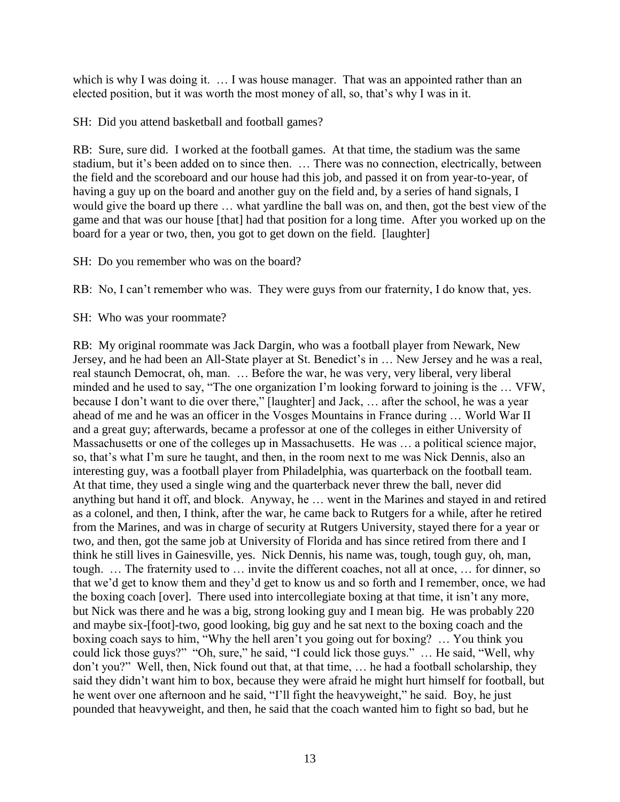which is why I was doing it. ... I was house manager. That was an appointed rather than an elected position, but it was worth the most money of all, so, that's why I was in it.

SH: Did you attend basketball and football games?

RB: Sure, sure did. I worked at the football games. At that time, the stadium was the same stadium, but it's been added on to since then. … There was no connection, electrically, between the field and the scoreboard and our house had this job, and passed it on from year-to-year, of having a guy up on the board and another guy on the field and, by a series of hand signals, I would give the board up there … what yardline the ball was on, and then, got the best view of the game and that was our house [that] had that position for a long time. After you worked up on the board for a year or two, then, you got to get down on the field. [laughter]

SH: Do you remember who was on the board?

RB: No, I can't remember who was. They were guys from our fraternity, I do know that, yes.

SH: Who was your roommate?

RB: My original roommate was Jack Dargin, who was a football player from Newark, New Jersey, and he had been an All-State player at St. Benedict's in … New Jersey and he was a real, real staunch Democrat, oh, man. … Before the war, he was very, very liberal, very liberal minded and he used to say, "The one organization I'm looking forward to joining is the … VFW, because I don't want to die over there," [laughter] and Jack, … after the school, he was a year ahead of me and he was an officer in the Vosges Mountains in France during … World War II and a great guy; afterwards, became a professor at one of the colleges in either University of Massachusetts or one of the colleges up in Massachusetts. He was ... a political science major, so, that's what I'm sure he taught, and then, in the room next to me was Nick Dennis, also an interesting guy, was a football player from Philadelphia, was quarterback on the football team. At that time, they used a single wing and the quarterback never threw the ball, never did anything but hand it off, and block. Anyway, he … went in the Marines and stayed in and retired as a colonel, and then, I think, after the war, he came back to Rutgers for a while, after he retired from the Marines, and was in charge of security at Rutgers University, stayed there for a year or two, and then, got the same job at University of Florida and has since retired from there and I think he still lives in Gainesville, yes. Nick Dennis, his name was, tough, tough guy, oh, man, tough. … The fraternity used to … invite the different coaches, not all at once, … for dinner, so that we'd get to know them and they'd get to know us and so forth and I remember, once, we had the boxing coach [over]. There used into intercollegiate boxing at that time, it isn't any more, but Nick was there and he was a big, strong looking guy and I mean big. He was probably 220 and maybe six-[foot]-two, good looking, big guy and he sat next to the boxing coach and the boxing coach says to him, "Why the hell aren't you going out for boxing? … You think you could lick those guys?" "Oh, sure," he said, "I could lick those guys." … He said, "Well, why don't you?" Well, then, Nick found out that, at that time, … he had a football scholarship, they said they didn't want him to box, because they were afraid he might hurt himself for football, but he went over one afternoon and he said, "I'll fight the heavyweight," he said. Boy, he just pounded that heavyweight, and then, he said that the coach wanted him to fight so bad, but he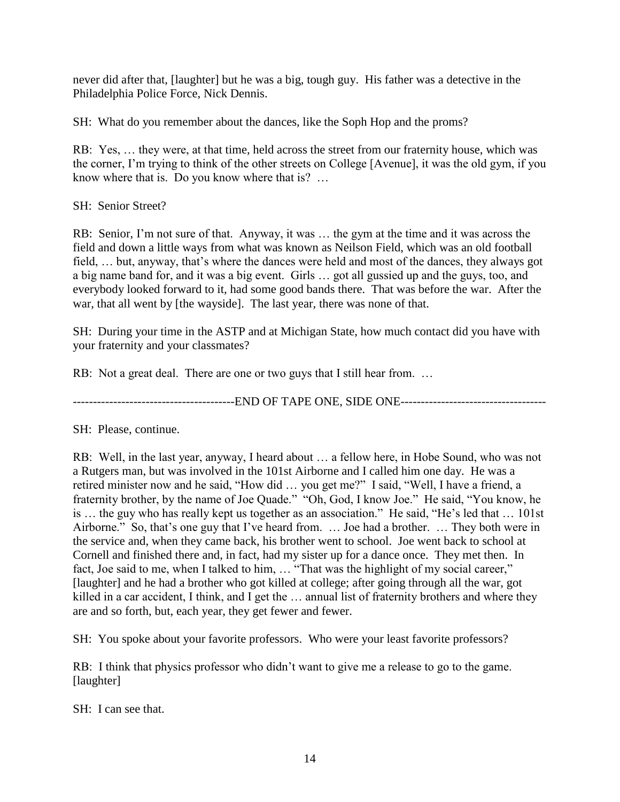never did after that, [laughter] but he was a big, tough guy. His father was a detective in the Philadelphia Police Force, Nick Dennis.

SH: What do you remember about the dances, like the Soph Hop and the proms?

RB: Yes, … they were, at that time, held across the street from our fraternity house, which was the corner, I'm trying to think of the other streets on College [Avenue], it was the old gym, if you know where that is. Do you know where that is? …

SH: Senior Street?

RB: Senior, I'm not sure of that. Anyway, it was … the gym at the time and it was across the field and down a little ways from what was known as Neilson Field, which was an old football field, … but, anyway, that's where the dances were held and most of the dances, they always got a big name band for, and it was a big event. Girls … got all gussied up and the guys, too, and everybody looked forward to it, had some good bands there. That was before the war. After the war, that all went by [the wayside]. The last year, there was none of that.

SH: During your time in the ASTP and at Michigan State, how much contact did you have with your fraternity and your classmates?

RB: Not a great deal. There are one or two guys that I still hear from. ...

----------------------------------------END OF TAPE ONE, SIDE ONE------------------------------------

SH: Please, continue.

RB: Well, in the last year, anyway, I heard about … a fellow here, in Hobe Sound, who was not a Rutgers man, but was involved in the 101st Airborne and I called him one day. He was a retired minister now and he said, "How did … you get me?" I said, "Well, I have a friend, a fraternity brother, by the name of Joe Quade." "Oh, God, I know Joe." He said, "You know, he is … the guy who has really kept us together as an association." He said, "He's led that … 101st Airborne." So, that's one guy that I've heard from. … Joe had a brother. … They both were in the service and, when they came back, his brother went to school. Joe went back to school at Cornell and finished there and, in fact, had my sister up for a dance once. They met then. In fact, Joe said to me, when I talked to him, … "That was the highlight of my social career," [laughter] and he had a brother who got killed at college; after going through all the war, got killed in a car accident, I think, and I get the … annual list of fraternity brothers and where they are and so forth, but, each year, they get fewer and fewer.

SH: You spoke about your favorite professors. Who were your least favorite professors?

RB: I think that physics professor who didn't want to give me a release to go to the game. [laughter]

SH: I can see that.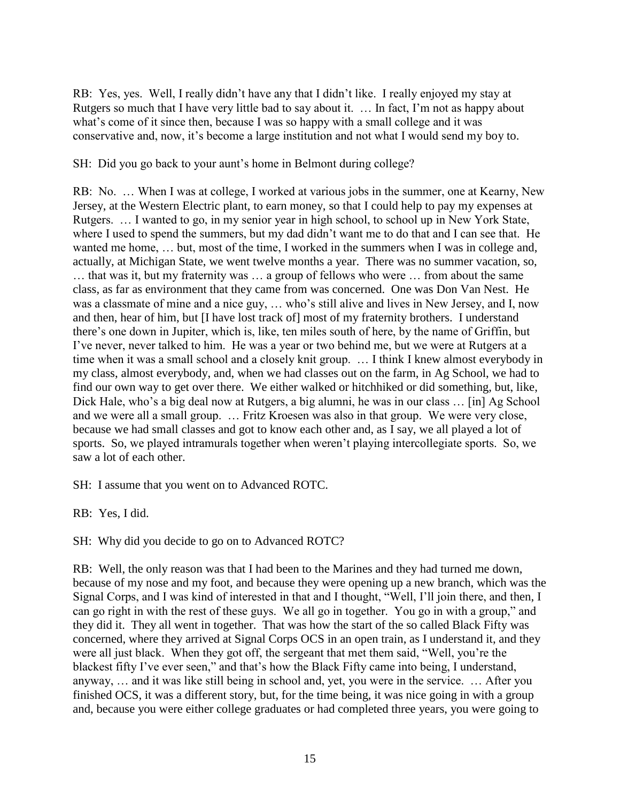RB: Yes, yes. Well, I really didn't have any that I didn't like. I really enjoyed my stay at Rutgers so much that I have very little bad to say about it. … In fact, I'm not as happy about what's come of it since then, because I was so happy with a small college and it was conservative and, now, it's become a large institution and not what I would send my boy to.

SH: Did you go back to your aunt's home in Belmont during college?

RB: No. … When I was at college, I worked at various jobs in the summer, one at Kearny, New Jersey, at the Western Electric plant, to earn money, so that I could help to pay my expenses at Rutgers. … I wanted to go, in my senior year in high school, to school up in New York State, where I used to spend the summers, but my dad didn't want me to do that and I can see that. He wanted me home, … but, most of the time, I worked in the summers when I was in college and, actually, at Michigan State, we went twelve months a year. There was no summer vacation, so, … that was it, but my fraternity was … a group of fellows who were … from about the same class, as far as environment that they came from was concerned. One was Don Van Nest. He was a classmate of mine and a nice guy, … who's still alive and lives in New Jersey, and I, now and then, hear of him, but [I have lost track of] most of my fraternity brothers. I understand there's one down in Jupiter, which is, like, ten miles south of here, by the name of Griffin, but I've never, never talked to him. He was a year or two behind me, but we were at Rutgers at a time when it was a small school and a closely knit group. … I think I knew almost everybody in my class, almost everybody, and, when we had classes out on the farm, in Ag School, we had to find our own way to get over there. We either walked or hitchhiked or did something, but, like, Dick Hale, who's a big deal now at Rutgers, a big alumni, he was in our class … [in] Ag School and we were all a small group. … Fritz Kroesen was also in that group. We were very close, because we had small classes and got to know each other and, as I say, we all played a lot of sports. So, we played intramurals together when weren't playing intercollegiate sports. So, we saw a lot of each other.

SH: I assume that you went on to Advanced ROTC.

RB: Yes, I did.

SH: Why did you decide to go on to Advanced ROTC?

RB: Well, the only reason was that I had been to the Marines and they had turned me down, because of my nose and my foot, and because they were opening up a new branch, which was the Signal Corps, and I was kind of interested in that and I thought, "Well, I'll join there, and then, I can go right in with the rest of these guys. We all go in together. You go in with a group," and they did it. They all went in together. That was how the start of the so called Black Fifty was concerned, where they arrived at Signal Corps OCS in an open train, as I understand it, and they were all just black. When they got off, the sergeant that met them said, "Well, you're the blackest fifty I've ever seen," and that's how the Black Fifty came into being, I understand, anyway, … and it was like still being in school and, yet, you were in the service. … After you finished OCS, it was a different story, but, for the time being, it was nice going in with a group and, because you were either college graduates or had completed three years, you were going to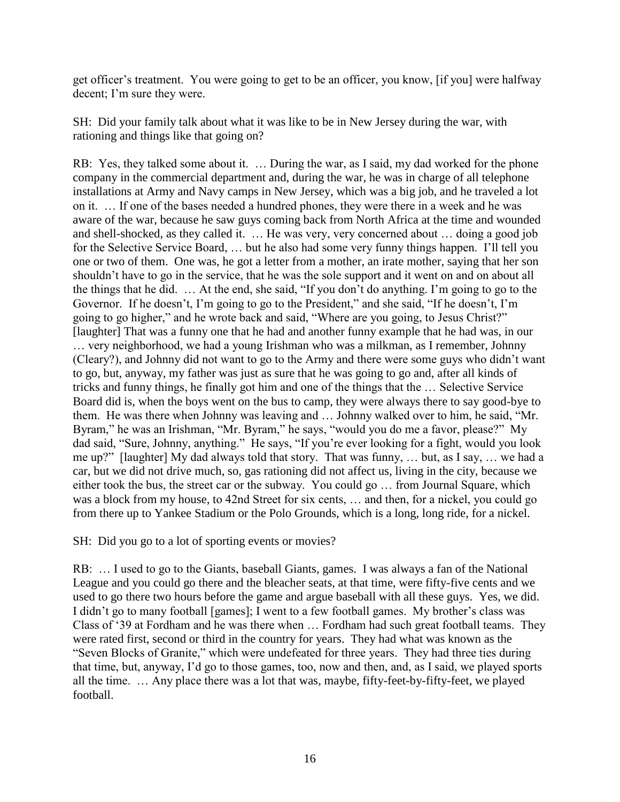get officer's treatment. You were going to get to be an officer, you know, [if you] were halfway decent; I'm sure they were.

SH: Did your family talk about what it was like to be in New Jersey during the war, with rationing and things like that going on?

RB: Yes, they talked some about it. … During the war, as I said, my dad worked for the phone company in the commercial department and, during the war, he was in charge of all telephone installations at Army and Navy camps in New Jersey, which was a big job, and he traveled a lot on it. … If one of the bases needed a hundred phones, they were there in a week and he was aware of the war, because he saw guys coming back from North Africa at the time and wounded and shell-shocked, as they called it. … He was very, very concerned about … doing a good job for the Selective Service Board, … but he also had some very funny things happen. I'll tell you one or two of them. One was, he got a letter from a mother, an irate mother, saying that her son shouldn't have to go in the service, that he was the sole support and it went on and on about all the things that he did. … At the end, she said, "If you don't do anything. I'm going to go to the Governor. If he doesn't, I'm going to go to the President," and she said, "If he doesn't, I'm going to go higher," and he wrote back and said, "Where are you going, to Jesus Christ?" [laughter] That was a funny one that he had and another funny example that he had was, in our … very neighborhood, we had a young Irishman who was a milkman, as I remember, Johnny (Cleary?), and Johnny did not want to go to the Army and there were some guys who didn't want to go, but, anyway, my father was just as sure that he was going to go and, after all kinds of tricks and funny things, he finally got him and one of the things that the … Selective Service Board did is, when the boys went on the bus to camp, they were always there to say good-bye to them. He was there when Johnny was leaving and … Johnny walked over to him, he said, "Mr. Byram," he was an Irishman, "Mr. Byram," he says, "would you do me a favor, please?" My dad said, "Sure, Johnny, anything." He says, "If you're ever looking for a fight, would you look me up?" [laughter] My dad always told that story. That was funny, … but, as I say, … we had a car, but we did not drive much, so, gas rationing did not affect us, living in the city, because we either took the bus, the street car or the subway. You could go … from Journal Square, which was a block from my house, to 42nd Street for six cents, … and then, for a nickel, you could go from there up to Yankee Stadium or the Polo Grounds, which is a long, long ride, for a nickel.

SH: Did you go to a lot of sporting events or movies?

RB: … I used to go to the Giants, baseball Giants, games. I was always a fan of the National League and you could go there and the bleacher seats, at that time, were fifty-five cents and we used to go there two hours before the game and argue baseball with all these guys. Yes, we did. I didn't go to many football [games]; I went to a few football games. My brother's class was Class of '39 at Fordham and he was there when … Fordham had such great football teams. They were rated first, second or third in the country for years. They had what was known as the "Seven Blocks of Granite," which were undefeated for three years. They had three ties during that time, but, anyway, I'd go to those games, too, now and then, and, as I said, we played sports all the time. … Any place there was a lot that was, maybe, fifty-feet-by-fifty-feet, we played football.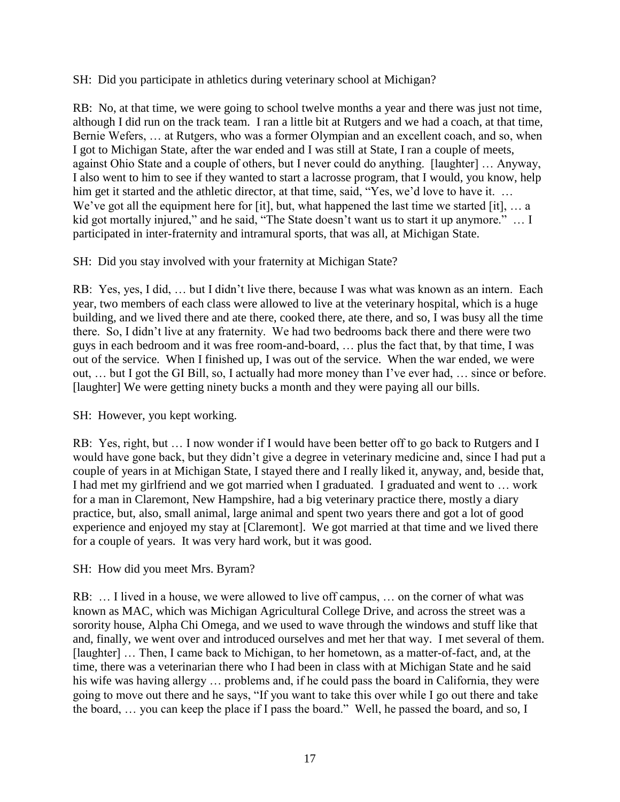SH: Did you participate in athletics during veterinary school at Michigan?

RB: No, at that time, we were going to school twelve months a year and there was just not time, although I did run on the track team. I ran a little bit at Rutgers and we had a coach, at that time, Bernie Wefers, … at Rutgers, who was a former Olympian and an excellent coach, and so, when I got to Michigan State, after the war ended and I was still at State, I ran a couple of meets, against Ohio State and a couple of others, but I never could do anything. [laughter] … Anyway, I also went to him to see if they wanted to start a lacrosse program, that I would, you know, help him get it started and the athletic director, at that time, said, "Yes, we'd love to have it. ... We've got all the equipment here for [it], but, what happened the last time we started [it], ... a kid got mortally injured," and he said, "The State doesn't want us to start it up anymore." ... I participated in inter-fraternity and intramural sports, that was all, at Michigan State.

SH: Did you stay involved with your fraternity at Michigan State?

RB: Yes, yes, I did, … but I didn't live there, because I was what was known as an intern. Each year, two members of each class were allowed to live at the veterinary hospital, which is a huge building, and we lived there and ate there, cooked there, ate there, and so, I was busy all the time there. So, I didn't live at any fraternity. We had two bedrooms back there and there were two guys in each bedroom and it was free room-and-board, … plus the fact that, by that time, I was out of the service. When I finished up, I was out of the service. When the war ended, we were out, … but I got the GI Bill, so, I actually had more money than I've ever had, … since or before. [laughter] We were getting ninety bucks a month and they were paying all our bills.

SH: However, you kept working.

RB: Yes, right, but … I now wonder if I would have been better off to go back to Rutgers and I would have gone back, but they didn't give a degree in veterinary medicine and, since I had put a couple of years in at Michigan State, I stayed there and I really liked it, anyway, and, beside that, I had met my girlfriend and we got married when I graduated. I graduated and went to … work for a man in Claremont, New Hampshire, had a big veterinary practice there, mostly a diary practice, but, also, small animal, large animal and spent two years there and got a lot of good experience and enjoyed my stay at [Claremont]. We got married at that time and we lived there for a couple of years. It was very hard work, but it was good.

SH: How did you meet Mrs. Byram?

RB: … I lived in a house, we were allowed to live off campus, … on the corner of what was known as MAC, which was Michigan Agricultural College Drive, and across the street was a sorority house, Alpha Chi Omega, and we used to wave through the windows and stuff like that and, finally, we went over and introduced ourselves and met her that way. I met several of them. [laughter] ... Then, I came back to Michigan, to her hometown, as a matter-of-fact, and, at the time, there was a veterinarian there who I had been in class with at Michigan State and he said his wife was having allergy ... problems and, if he could pass the board in California, they were going to move out there and he says, "If you want to take this over while I go out there and take the board, … you can keep the place if I pass the board." Well, he passed the board, and so, I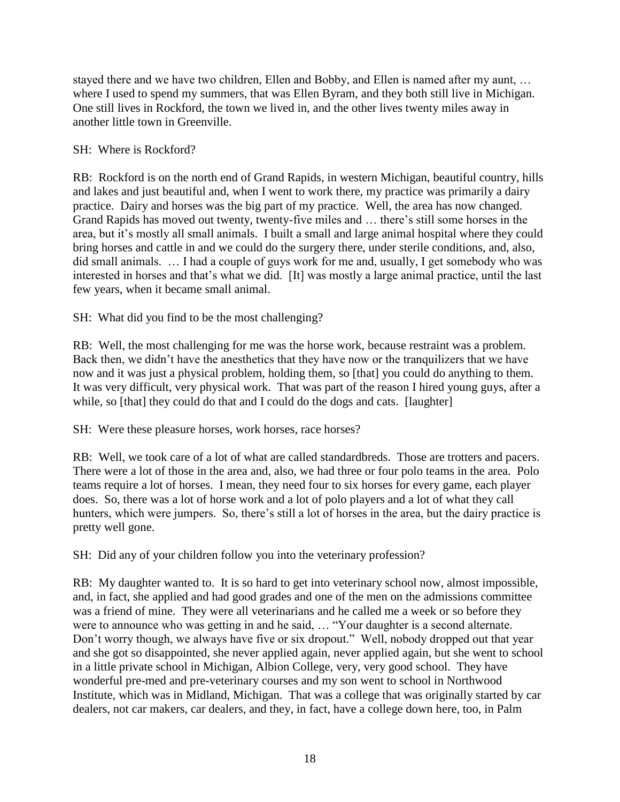stayed there and we have two children, Ellen and Bobby, and Ellen is named after my aunt, … where I used to spend my summers, that was Ellen Byram, and they both still live in Michigan. One still lives in Rockford, the town we lived in, and the other lives twenty miles away in another little town in Greenville.

## SH: Where is Rockford?

RB: Rockford is on the north end of Grand Rapids, in western Michigan, beautiful country, hills and lakes and just beautiful and, when I went to work there, my practice was primarily a dairy practice. Dairy and horses was the big part of my practice. Well, the area has now changed. Grand Rapids has moved out twenty, twenty-five miles and … there's still some horses in the area, but it's mostly all small animals. I built a small and large animal hospital where they could bring horses and cattle in and we could do the surgery there, under sterile conditions, and, also, did small animals. … I had a couple of guys work for me and, usually, I get somebody who was interested in horses and that's what we did. [It] was mostly a large animal practice, until the last few years, when it became small animal.

SH: What did you find to be the most challenging?

RB: Well, the most challenging for me was the horse work, because restraint was a problem. Back then, we didn't have the anesthetics that they have now or the tranquilizers that we have now and it was just a physical problem, holding them, so [that] you could do anything to them. It was very difficult, very physical work. That was part of the reason I hired young guys, after a while, so [that] they could do that and I could do the dogs and cats. [laughter]

#### SH: Were these pleasure horses, work horses, race horses?

RB: Well, we took care of a lot of what are called standardbreds. Those are trotters and pacers. There were a lot of those in the area and, also, we had three or four polo teams in the area. Polo teams require a lot of horses. I mean, they need four to six horses for every game, each player does. So, there was a lot of horse work and a lot of polo players and a lot of what they call hunters, which were jumpers. So, there's still a lot of horses in the area, but the dairy practice is pretty well gone.

SH: Did any of your children follow you into the veterinary profession?

RB: My daughter wanted to. It is so hard to get into veterinary school now, almost impossible, and, in fact, she applied and had good grades and one of the men on the admissions committee was a friend of mine. They were all veterinarians and he called me a week or so before they were to announce who was getting in and he said, … "Your daughter is a second alternate. Don't worry though, we always have five or six dropout." Well, nobody dropped out that year and she got so disappointed, she never applied again, never applied again, but she went to school in a little private school in Michigan, Albion College, very, very good school. They have wonderful pre-med and pre-veterinary courses and my son went to school in Northwood Institute, which was in Midland, Michigan. That was a college that was originally started by car dealers, not car makers, car dealers, and they, in fact, have a college down here, too, in Palm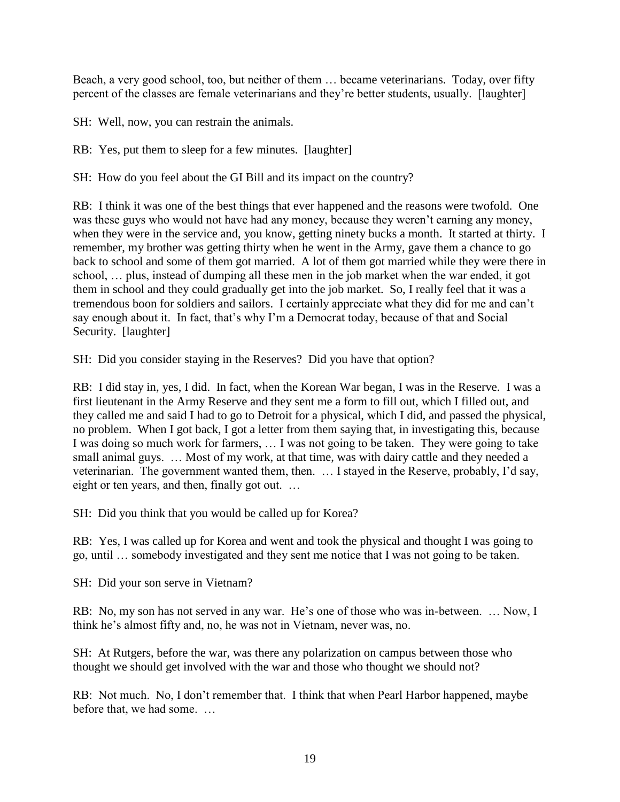Beach, a very good school, too, but neither of them … became veterinarians. Today, over fifty percent of the classes are female veterinarians and they're better students, usually. [laughter]

SH: Well, now, you can restrain the animals.

RB: Yes, put them to sleep for a few minutes. [laughter]

SH: How do you feel about the GI Bill and its impact on the country?

RB: I think it was one of the best things that ever happened and the reasons were twofold. One was these guys who would not have had any money, because they weren't earning any money, when they were in the service and, you know, getting ninety bucks a month. It started at thirty. I remember, my brother was getting thirty when he went in the Army, gave them a chance to go back to school and some of them got married. A lot of them got married while they were there in school, … plus, instead of dumping all these men in the job market when the war ended, it got them in school and they could gradually get into the job market. So, I really feel that it was a tremendous boon for soldiers and sailors. I certainly appreciate what they did for me and can't say enough about it. In fact, that's why I'm a Democrat today, because of that and Social Security. [laughter]

SH: Did you consider staying in the Reserves? Did you have that option?

RB: I did stay in, yes, I did. In fact, when the Korean War began, I was in the Reserve. I was a first lieutenant in the Army Reserve and they sent me a form to fill out, which I filled out, and they called me and said I had to go to Detroit for a physical, which I did, and passed the physical, no problem. When I got back, I got a letter from them saying that, in investigating this, because I was doing so much work for farmers, … I was not going to be taken. They were going to take small animal guys. … Most of my work, at that time, was with dairy cattle and they needed a veterinarian. The government wanted them, then. … I stayed in the Reserve, probably, I'd say, eight or ten years, and then, finally got out. …

SH: Did you think that you would be called up for Korea?

RB: Yes, I was called up for Korea and went and took the physical and thought I was going to go, until … somebody investigated and they sent me notice that I was not going to be taken.

SH: Did your son serve in Vietnam?

RB: No, my son has not served in any war. He's one of those who was in-between. … Now, I think he's almost fifty and, no, he was not in Vietnam, never was, no.

SH: At Rutgers, before the war, was there any polarization on campus between those who thought we should get involved with the war and those who thought we should not?

RB: Not much. No, I don't remember that. I think that when Pearl Harbor happened, maybe before that, we had some. …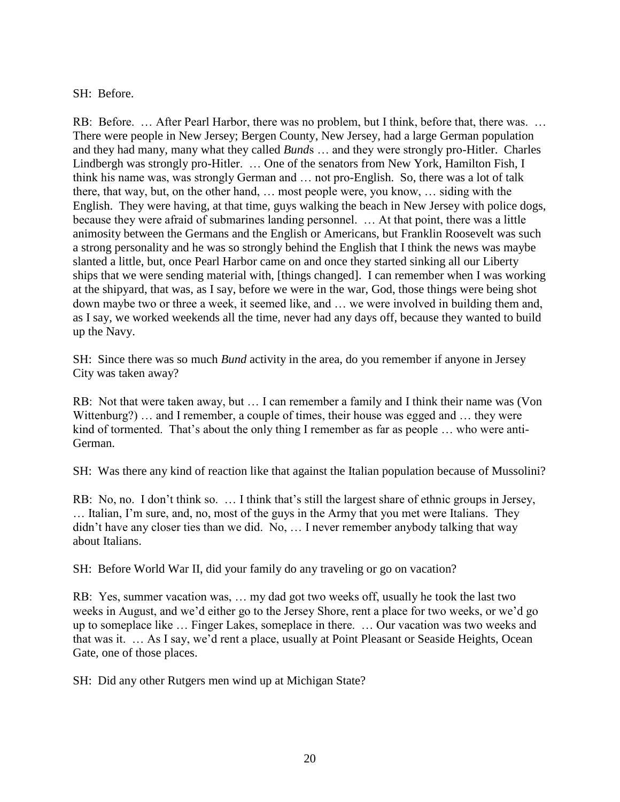## SH: Before.

RB: Before. ... After Pearl Harbor, there was no problem, but I think, before that, there was. ... There were people in New Jersey; Bergen County, New Jersey, had a large German population and they had many, many what they called *Bund*s … and they were strongly pro-Hitler. Charles Lindbergh was strongly pro-Hitler. … One of the senators from New York, Hamilton Fish, I think his name was, was strongly German and … not pro-English. So, there was a lot of talk there, that way, but, on the other hand, … most people were, you know, … siding with the English. They were having, at that time, guys walking the beach in New Jersey with police dogs, because they were afraid of submarines landing personnel. … At that point, there was a little animosity between the Germans and the English or Americans, but Franklin Roosevelt was such a strong personality and he was so strongly behind the English that I think the news was maybe slanted a little, but, once Pearl Harbor came on and once they started sinking all our Liberty ships that we were sending material with, [things changed]. I can remember when I was working at the shipyard, that was, as I say, before we were in the war, God, those things were being shot down maybe two or three a week, it seemed like, and … we were involved in building them and, as I say, we worked weekends all the time, never had any days off, because they wanted to build up the Navy.

SH: Since there was so much *Bund* activity in the area, do you remember if anyone in Jersey City was taken away?

RB: Not that were taken away, but … I can remember a family and I think their name was (Von Wittenburg?) … and I remember, a couple of times, their house was egged and … they were kind of tormented. That's about the only thing I remember as far as people ... who were anti-German.

SH: Was there any kind of reaction like that against the Italian population because of Mussolini?

RB: No, no. I don't think so. ... I think that's still the largest share of ethnic groups in Jersey, … Italian, I'm sure, and, no, most of the guys in the Army that you met were Italians. They didn't have any closer ties than we did. No, … I never remember anybody talking that way about Italians.

SH: Before World War II, did your family do any traveling or go on vacation?

RB: Yes, summer vacation was, … my dad got two weeks off, usually he took the last two weeks in August, and we'd either go to the Jersey Shore, rent a place for two weeks, or we'd go up to someplace like … Finger Lakes, someplace in there. … Our vacation was two weeks and that was it. … As I say, we'd rent a place, usually at Point Pleasant or Seaside Heights, Ocean Gate, one of those places.

SH: Did any other Rutgers men wind up at Michigan State?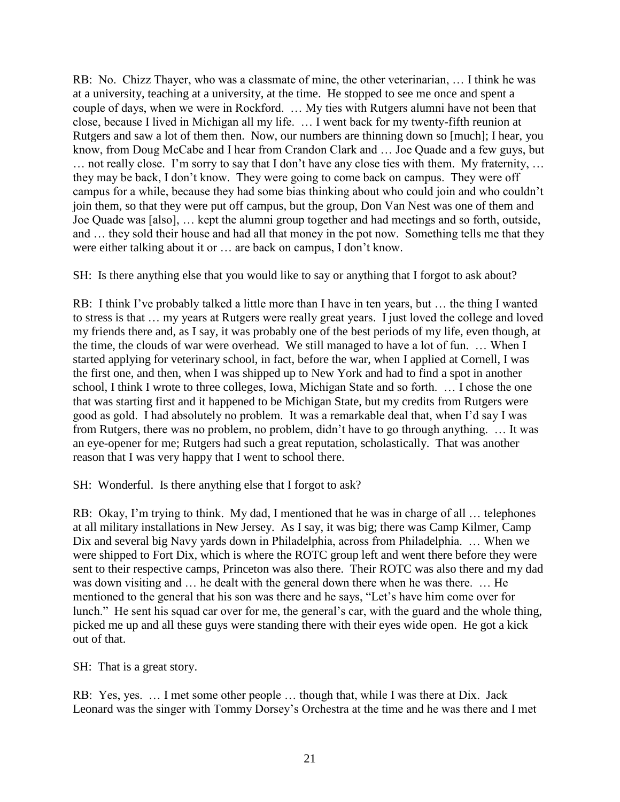RB: No. Chizz Thayer, who was a classmate of mine, the other veterinarian, … I think he was at a university, teaching at a university, at the time. He stopped to see me once and spent a couple of days, when we were in Rockford. … My ties with Rutgers alumni have not been that close, because I lived in Michigan all my life. … I went back for my twenty-fifth reunion at Rutgers and saw a lot of them then. Now, our numbers are thinning down so [much]; I hear, you know, from Doug McCabe and I hear from Crandon Clark and … Joe Quade and a few guys, but … not really close. I'm sorry to say that I don't have any close ties with them. My fraternity, … they may be back, I don't know. They were going to come back on campus. They were off campus for a while, because they had some bias thinking about who could join and who couldn't join them, so that they were put off campus, but the group, Don Van Nest was one of them and Joe Quade was [also], … kept the alumni group together and had meetings and so forth, outside, and … they sold their house and had all that money in the pot now. Something tells me that they were either talking about it or … are back on campus, I don't know.

SH: Is there anything else that you would like to say or anything that I forgot to ask about?

RB: I think I've probably talked a little more than I have in ten years, but … the thing I wanted to stress is that … my years at Rutgers were really great years. I just loved the college and loved my friends there and, as I say, it was probably one of the best periods of my life, even though, at the time, the clouds of war were overhead. We still managed to have a lot of fun. … When I started applying for veterinary school, in fact, before the war, when I applied at Cornell, I was the first one, and then, when I was shipped up to New York and had to find a spot in another school, I think I wrote to three colleges, Iowa, Michigan State and so forth. … I chose the one that was starting first and it happened to be Michigan State, but my credits from Rutgers were good as gold. I had absolutely no problem. It was a remarkable deal that, when I'd say I was from Rutgers, there was no problem, no problem, didn't have to go through anything. … It was an eye-opener for me; Rutgers had such a great reputation, scholastically. That was another reason that I was very happy that I went to school there.

SH: Wonderful. Is there anything else that I forgot to ask?

RB: Okay, I'm trying to think. My dad, I mentioned that he was in charge of all … telephones at all military installations in New Jersey. As I say, it was big; there was Camp Kilmer, Camp Dix and several big Navy yards down in Philadelphia, across from Philadelphia. … When we were shipped to Fort Dix, which is where the ROTC group left and went there before they were sent to their respective camps, Princeton was also there. Their ROTC was also there and my dad was down visiting and … he dealt with the general down there when he was there. … He mentioned to the general that his son was there and he says, "Let's have him come over for lunch." He sent his squad car over for me, the general's car, with the guard and the whole thing, picked me up and all these guys were standing there with their eyes wide open. He got a kick out of that.

SH: That is a great story.

RB: Yes, yes. … I met some other people … though that, while I was there at Dix. Jack Leonard was the singer with Tommy Dorsey's Orchestra at the time and he was there and I met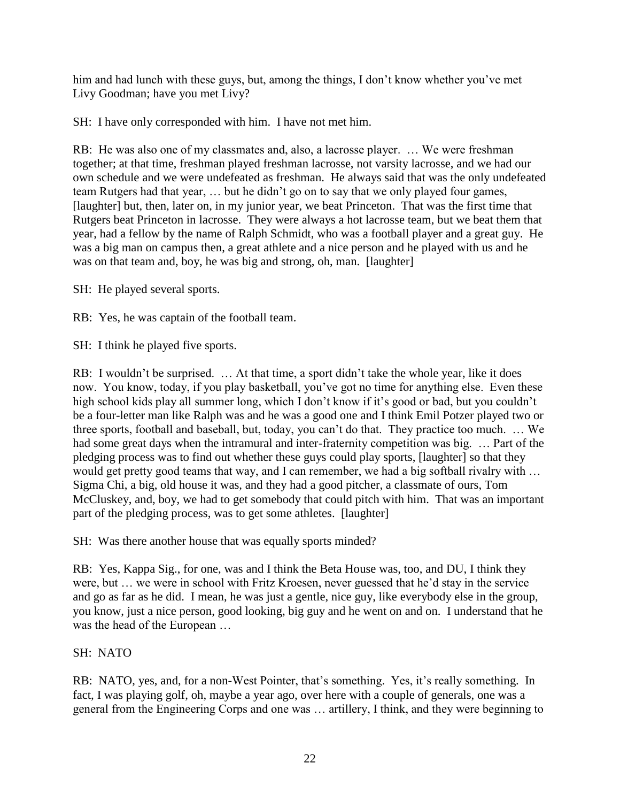him and had lunch with these guys, but, among the things, I don't know whether you've met Livy Goodman; have you met Livy?

SH: I have only corresponded with him. I have not met him.

RB: He was also one of my classmates and, also, a lacrosse player. … We were freshman together; at that time, freshman played freshman lacrosse, not varsity lacrosse, and we had our own schedule and we were undefeated as freshman. He always said that was the only undefeated team Rutgers had that year, … but he didn't go on to say that we only played four games, [laughter] but, then, later on, in my junior year, we beat Princeton. That was the first time that Rutgers beat Princeton in lacrosse. They were always a hot lacrosse team, but we beat them that year, had a fellow by the name of Ralph Schmidt, who was a football player and a great guy. He was a big man on campus then, a great athlete and a nice person and he played with us and he was on that team and, boy, he was big and strong, oh, man. [laughter]

SH: He played several sports.

RB: Yes, he was captain of the football team.

SH: I think he played five sports.

RB: I wouldn't be surprised. … At that time, a sport didn't take the whole year, like it does now. You know, today, if you play basketball, you've got no time for anything else. Even these high school kids play all summer long, which I don't know if it's good or bad, but you couldn't be a four-letter man like Ralph was and he was a good one and I think Emil Potzer played two or three sports, football and baseball, but, today, you can't do that. They practice too much. … We had some great days when the intramural and inter-fraternity competition was big. ... Part of the pledging process was to find out whether these guys could play sports, [laughter] so that they would get pretty good teams that way, and I can remember, we had a big softball rivalry with ... Sigma Chi, a big, old house it was, and they had a good pitcher, a classmate of ours, Tom McCluskey, and, boy, we had to get somebody that could pitch with him. That was an important part of the pledging process, was to get some athletes. [laughter]

SH: Was there another house that was equally sports minded?

RB: Yes, Kappa Sig., for one, was and I think the Beta House was, too, and DU, I think they were, but … we were in school with Fritz Kroesen, never guessed that he'd stay in the service and go as far as he did. I mean, he was just a gentle, nice guy, like everybody else in the group, you know, just a nice person, good looking, big guy and he went on and on. I understand that he was the head of the European …

## SH: NATO

RB: NATO, yes, and, for a non-West Pointer, that's something. Yes, it's really something. In fact, I was playing golf, oh, maybe a year ago, over here with a couple of generals, one was a general from the Engineering Corps and one was … artillery, I think, and they were beginning to